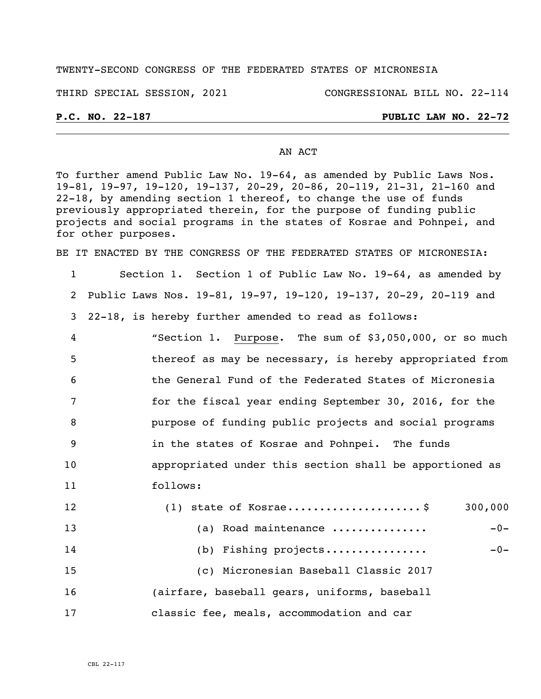### TWENTY-SECOND CONGRESS OF THE FEDERATED STATES OF MICRONESIA

THIRD SPECIAL SESSION, 2021 CONGRESSIONAL BILL NO. 22-114

### **P.C. NO. 22-187 PUBLIC LAW NO. 22-72**

#### AN ACT

To further amend Public Law No. 19-64, as amended by Public Laws Nos. 19-81, 19-97, 19-120, 19-137, 20-29, 20-86, 20-119, 21-31, 21-160 and 22-18, by amending section 1 thereof, to change the use of funds previously appropriated therein, for the purpose of funding public projects and social programs in the states of Kosrae and Pohnpei, and for other purposes.

BE IT ENACTED BY THE CONGRESS OF THE FEDERATED STATES OF MICRONESIA:

- 1 Section 1. Section 1 of Public Law No. 19-64, as amended by 2 Public Laws Nos. 19-81, 19-97, 19-120, 19-137, 20-29, 20-119 and 3 22-18, is hereby further amended to read as follows: 4 "Section 1. Purpose. The sum of \$3,050,000, or so much
- 5 thereof as may be necessary, is hereby appropriated from 6 the General Fund of the Federated States of Micronesia 7 for the fiscal year ending September 30, 2016, for the 8 purpose of funding public projects and social programs 9 in the states of Kosrae and Pohnpei. The funds 10 appropriated under this section shall be apportioned as 11 follows:
- 12 (1) state of Kosrae..........................\$ 300,000 13 (a) Road maintenance ............... -0- 14 (b) Fishing projects................ -0- 15 (c) Micronesian Baseball Classic 2017 16 (airfare, baseball gears, uniforms, baseball 17 classic fee, meals, accommodation and car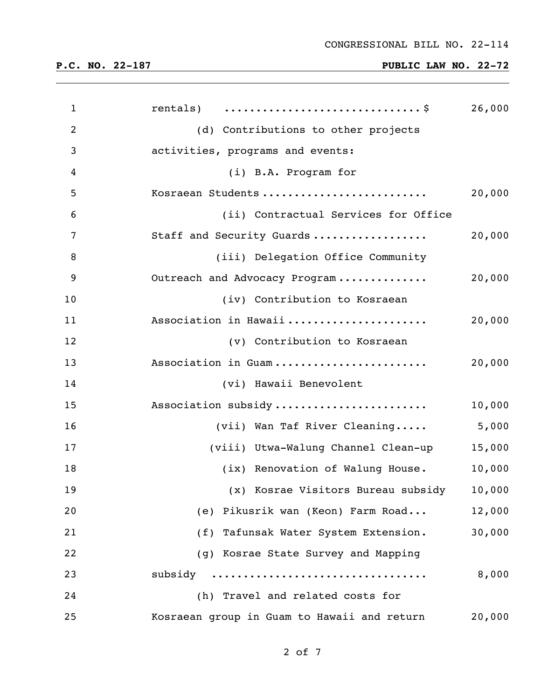# **P.C. NO. 22-187 PUBLIC LAW NO. 22-72**

| $\mathbf{1}$   | rentals) $\dots \dots \dots \dots \dots \dots \dots \dots \dots \$ | 26,000 |
|----------------|--------------------------------------------------------------------|--------|
| $\overline{2}$ | (d) Contributions to other projects                                |        |
| 3              | activities, programs and events:                                   |        |
| 4              | (i) B.A. Program for                                               |        |
| 5              | Kosraean Students                                                  | 20,000 |
| 6              | (ii) Contractual Services for Office                               |        |
| 7              | Staff and Security Guards                                          | 20,000 |
| 8              | (iii) Delegation Office Community                                  |        |
| 9              | Outreach and Advocacy Program                                      | 20,000 |
| 10             | (iv) Contribution to Kosraean                                      |        |
| 11             | Association in Hawaii                                              | 20,000 |
| 12             | (v) Contribution to Kosraean                                       |        |
| 13             | Association in Guam                                                | 20,000 |
| 14             | (vi) Hawaii Benevolent                                             |        |
| 15             | Association subsidy                                                | 10,000 |
| 16             | (vii) Wan Taf River Cleaning                                       | 5,000  |
| 17             | (viii) Utwa-Walung Channel Clean-up                                | 15,000 |
| 18             | (ix) Renovation of Walung House.                                   | 10,000 |
| 19             | (x) Kosrae Visitors Bureau subsidy                                 | 10,000 |
| 20             | (e) Pikusrik wan (Keon) Farm Road                                  | 12,000 |
| 21             | (f) Tafunsak Water System Extension.                               | 30,000 |
| 22             | (g) Kosrae State Survey and Mapping                                |        |
| 23             | subsidy                                                            | 8,000  |
| 24             | (h) Travel and related costs for                                   |        |
| 25             | Kosraean group in Guam to Hawaii and return                        | 20,000 |

of 7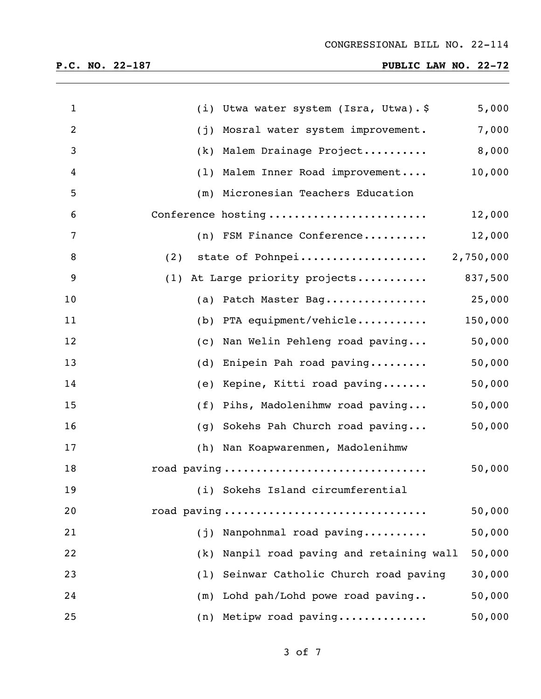# **P.C. NO. 22-187 PUBLIC LAW NO. 22-72**

| $\mathbf{1}$   | 5,000<br>(i) Utwa water system (Isra, Utwa). \$        |
|----------------|--------------------------------------------------------|
| $\overline{2}$ | 7,000<br>Mosral water system improvement.<br>(j)       |
| 3              | 8,000<br>Malem Drainage Project<br>(k)                 |
| 4              | 10,000<br>Malem Inner Road improvement<br>(1)          |
| 5              | Micronesian Teachers Education<br>(m)                  |
| 6              | Conference hosting<br>12,000                           |
| 7              | 12,000<br>(n) FSM Finance Conference                   |
| 8              | (2) state of Pohnpei 2,750,000                         |
| 9              | 837,500<br>(1) At Large priority projects              |
| 10             | 25,000<br>(a) Patch Master Bag                         |
| 11             | 150,000<br>(b) PTA equipment/vehicle                   |
| 12             | 50,000<br>Nan Welin Pehleng road paving<br>(c)         |
| 13             | 50,000<br>Enipein Pah road paving<br>(d)               |
| 14             | 50,000<br>Kepine, Kitti road paving<br>(e)             |
| 15             | 50,000<br>Pihs, Madolenihmw road paving<br>(f)         |
| 16             | 50,000<br>Sokehs Pah Church road paving<br>(g)         |
| 17             | (h) Nan Koapwarenmen, Madolenihmw                      |
| 18             | road paving<br>50,000                                  |
| 19             | (i) Sokehs Island circumferential                      |
| 20             | 50,000<br>road paving                                  |
| 21             | Nanpohnmal road paving<br>50,000<br>(j)                |
| 22             | Nanpil road paving and retaining wall<br>50,000<br>(k) |
| 23             | Seinwar Catholic Church road paving<br>30,000<br>(1)   |
| 24             | Lohd pah/Lohd powe road paving<br>50,000<br>(m)        |
| 25             | 50,000<br>(n) Metipw road paving                       |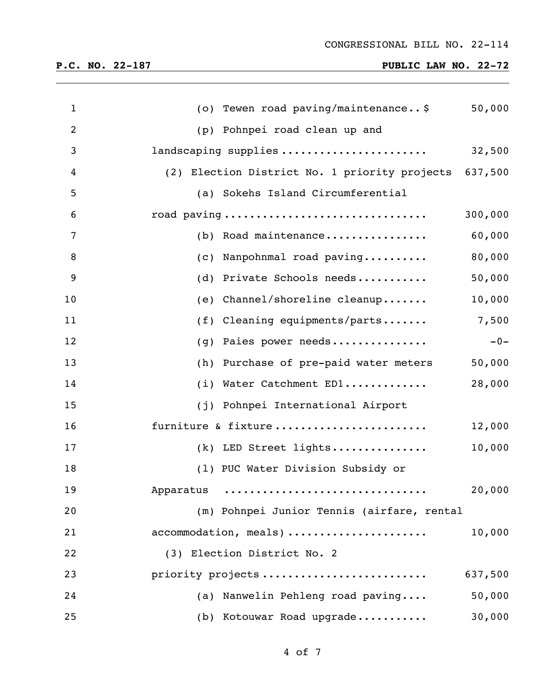# **P.C. NO. 22-187 PUBLIC LAW NO. 22-72**

| $\mathbf{1}$   | (o) Tewen road paving/maintenance\$<br>50,000         |
|----------------|-------------------------------------------------------|
| $\overline{2}$ | Pohnpei road clean up and<br>(p)                      |
| 3              | landscaping supplies<br>32,500                        |
| 4              | (2) Election District No. 1 priority projects 637,500 |
| 5              | (a) Sokehs Island Circumferential                     |
| 6              | road paving<br>300,000                                |
| 7              | 60,000<br>(b) Road maintenance                        |
| 8              | 80,000<br>(c) Nanpohnmal road paving                  |
| 9              | (d) Private Schools needs<br>50,000                   |
| 10             | Channel/shoreline cleanup<br>10,000<br>(e)            |
| 11             | 7,500<br>$(f)$ Cleaning equipments/parts              |
| 12             | Paies power needs<br>$-0-$<br>(g)                     |
| 13             | 50,000<br>Purchase of pre-paid water meters<br>(h)    |
| 14             | 28,000<br>Water Catchment ED1<br>(i)                  |
| 15             | Pohnpei International Airport<br>(j)                  |
| 16             | furniture & fixture<br>12,000                         |
| 17             | 10,000<br>(k) LED Street lights                       |
| 18             | (1) PUC Water Division Subsidy or                     |
| 19             | 20,000<br>Apparatus                                   |
| 20             | (m) Pohnpei Junior Tennis (airfare, rental            |
| 21             | 10,000<br>accommodation, meals)                       |
| 22             | (3) Election District No. 2                           |
| 23             | priority projects<br>637,500                          |
| 24             | (a) Nanwelin Pehleng road paving<br>50,000            |
| 25             | 30,000<br>(b) Kotouwar Road upgrade                   |

of 7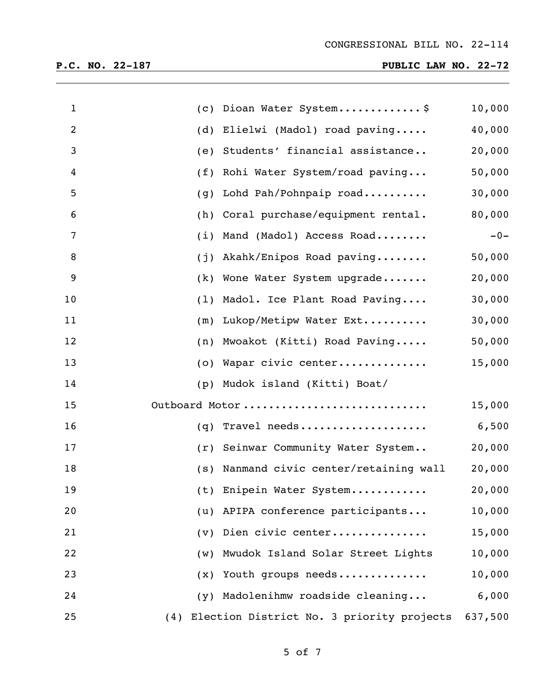| $\mathbf 1$ | (c)            | Dioan Water System\$                              | 10,000 |
|-------------|----------------|---------------------------------------------------|--------|
| 2           | (d)            | Elielwi (Madol) road paving                       | 40,000 |
| 3           | (e)            | Students' financial assistance                    | 20,000 |
| 4           | (f)            | Rohi Water System/road paving                     | 50,000 |
| 5           | (g)            | Lohd Pah/Pohnpaip road                            | 30,000 |
| 6           | (h)            | Coral purchase/equipment rental.                  | 80,000 |
| 7           | (i)            | Mand (Madol) Access Road                          | $-0-$  |
| 8           | (j)            | Akahk/Enipos Road paving                          | 50,000 |
| 9           | (k)            | Wone Water System upgrade                         | 20,000 |
| 10          | (1)            | Madol. Ice Plant Road Paving                      | 30,000 |
| 11          | (m)            | Lukop/Metipw Water Ext                            | 30,000 |
| 12          | (n)            | Mwoakot (Kitti) Road Paving                       | 50,000 |
| 13          | (0)            | Wapar civic center                                | 15,000 |
| 14          | (p)            | Mudok island (Kitti) Boat/                        |        |
| 15          |                | Outboard Motor                                    | 15,000 |
| 16          | (q)            | Travel needs                                      | 6,500  |
| 17          | (r)            | Seinwar Community Water System                    | 20,000 |
| 18          | (s)            | Nanmand civic center/retaining wall               | 20,000 |
| 19          |                | (t) Enipein Water System                          | 20,000 |
| 20          |                | (u) APIPA conference participants                 | 10,000 |
| 21          |                | (v) Dien civic center                             | 15,000 |
| 22          | (w)            | Mwudok Island Solar Street Lights                 | 10,000 |
| 23          | $(\mathbf{x})$ | Youth groups needs                                | 10,000 |
| 24          | (y)            | Madolenihmw roadside cleaning                     | 6,000  |
| 25          | (4)            | Election District No. 3 priority projects 637,500 |        |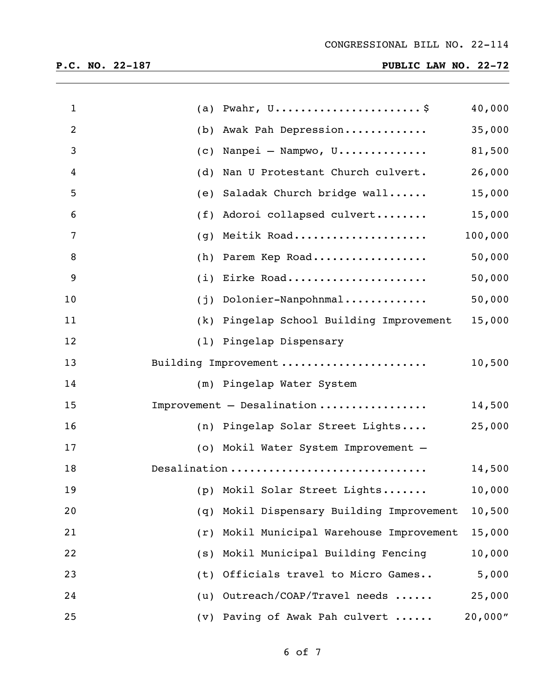| $\mathbf{1}$   | Pwahr, $U \ldots \ldots \ldots \ldots \ldots \ldots \ldots$ \$<br>(a) | 40,000  |
|----------------|-----------------------------------------------------------------------|---------|
| $\overline{2}$ | Awak Pah Depression<br>(b)                                            | 35,000  |
| 3              | Nanpei - Nampwo, $U$<br>(c)                                           | 81,500  |
| 4              | Nan U Protestant Church culvert.<br>(d)                               | 26,000  |
| 5              | Saladak Church bridge wall<br>(e)                                     | 15,000  |
| 6              | Adoroi collapsed culvert<br>(f)                                       | 15,000  |
| 7              | Meitik Road<br>(g)                                                    | 100,000 |
| 8              | Parem Kep Road<br>(h)                                                 | 50,000  |
| 9              | Eirke Road<br>(i)                                                     | 50,000  |
| 10             | Dolonier-Nanpohnmal<br>(j)                                            | 50,000  |
| 11             | (k) Pingelap School Building Improvement                              | 15,000  |
| 12             | (1) Pingelap Dispensary                                               |         |
| 13             | Building Improvement                                                  | 10,500  |
| 14             | (m) Pingelap Water System                                             |         |
| 15             | Improvement - Desalination                                            | 14,500  |
| 16             | (n) Pingelap Solar Street Lights                                      | 25,000  |
| 17             | (o) Mokil Water System Improvement -                                  |         |
| 18             | Desalination                                                          | 14,500  |
| 19             | (p) Mokil Solar Street Lights                                         | 10,000  |
| 20             | Mokil Dispensary Building Improvement<br>(q)                          | 10,500  |
| 21             | Mokil Municipal Warehouse Improvement<br>(r)                          | 15,000  |
| 22             | Mokil Municipal Building Fencing<br>(s)                               | 10,000  |
| 23             | Officials travel to Micro Games<br>(t)                                | 5,000   |
| 24             | Outreach/COAP/Travel needs<br>(u)                                     | 25,000  |
| 25             | Paving of Awak Pah culvert<br>$(\nu)$                                 | 20,000" |